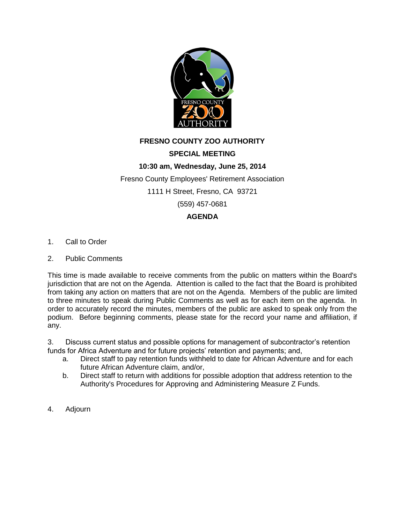

## **FRESNO COUNTY ZOO AUTHORITY**

## **SPECIAL MEETING**

## **10:30 am, Wednesday, June 25, 2014**

Fresno County Employees' Retirement Association

1111 H Street, Fresno, CA 93721

(559) 457-0681

## **AGENDA**

- 1. Call to Order
- 2. Public Comments

This time is made available to receive comments from the public on matters within the Board's jurisdiction that are not on the Agenda. Attention is called to the fact that the Board is prohibited from taking any action on matters that are not on the Agenda. Members of the public are limited to three minutes to speak during Public Comments as well as for each item on the agenda. In order to accurately record the minutes, members of the public are asked to speak only from the podium. Before beginning comments, please state for the record your name and affiliation, if any.

3. Discuss current status and possible options for management of subcontractor's retention funds for Africa Adventure and for future projects' retention and payments; and,

- a. Direct staff to pay retention funds withheld to date for African Adventure and for each future African Adventure claim, and/or,
- b. Direct staff to return with additions for possible adoption that address retention to the Authority's Procedures for Approving and Administering Measure Z Funds.
- 4. Adjourn